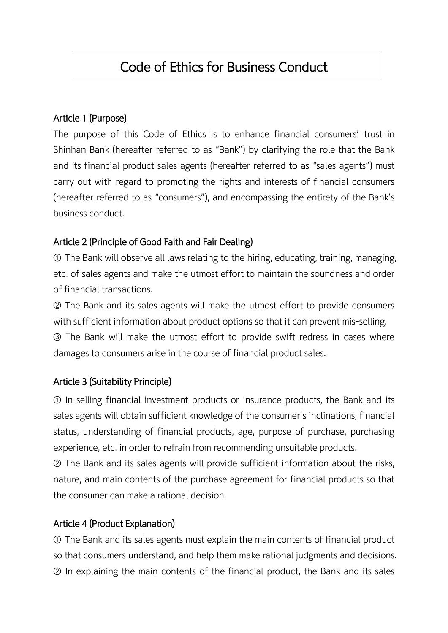# Code of Ethics for Business Conduct

#### Article 1 (Purpose)

The purpose of this Code of Ethics is to enhance financial consumers' trust in Shinhan Bank (hereafter referred to as "Bank") by clarifying the role that the Bank and its financial product sales agents (hereafter referred to as "sales agents") must carry out with regard to promoting the rights and interests of financial consumers (hereafter referred to as "consumers"), and encompassing the entirety of the Bank's business conduct.

### Article 2 (Principle of Good Faith and Fair Dealing)

① The Bank will observe all laws relating to the hiring, educating, training, managing, etc. of sales agents and make the utmost effort to maintain the soundness and order of financial transactions.

② The Bank and its sales agents will make the utmost effort to provide consumers with sufficient information about product options so that it can prevent mis-selling. ③ The Bank will make the utmost effort to provide swift redress in cases where damages to consumers arise in the course of financial product sales.

### Article 3 (Suitability Principle)

① In selling financial investment products or insurance products, the Bank and its sales agents will obtain sufficient knowledge of the consumer's inclinations, financial status, understanding of financial products, age, purpose of purchase, purchasing experience, etc. in order to refrain from recommending unsuitable products.

② The Bank and its sales agents will provide sufficient information about the risks, nature, and main contents of the purchase agreement for financial products so that the consumer can make a rational decision.

#### Article 4 (Product Explanation)

① The Bank and its sales agents must explain the main contents of financial product so that consumers understand, and help them make rational judgments and decisions. ② In explaining the main contents of the financial product, the Bank and its sales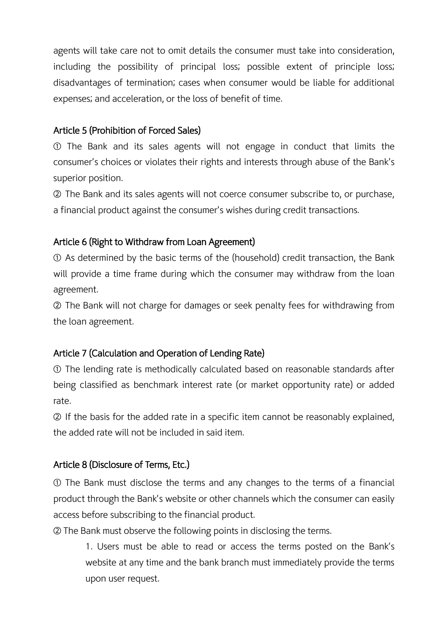agents will take care not to omit details the consumer must take into consideration, including the possibility of principal loss; possible extent of principle loss; disadvantages of termination; cases when consumer would be liable for additional expenses; and acceleration, or the loss of benefit of time.

## Article 5 (Prohibition of Forced Sales)

① The Bank and its sales agents will not engage in conduct that limits the consumer's choices or violates their rights and interests through abuse of the Bank's superior position.

② The Bank and its sales agents will not coerce consumer subscribe to, or purchase, a financial product against the consumer's wishes during credit transactions.

### Article 6 (Right to Withdraw from Loan Agreement)

① As determined by the basic terms of the (household) credit transaction, the Bank will provide a time frame during which the consumer may withdraw from the loan agreement.

② The Bank will not charge for damages or seek penalty fees for withdrawing from the loan agreement.

# Article 7 (Calculation and Operation of Lending Rate)

① The lending rate is methodically calculated based on reasonable standards after being classified as benchmark interest rate (or market opportunity rate) or added rate.

② If the basis for the added rate in a specific item cannot be reasonably explained, the added rate will not be included in said item.

### Article 8 (Disclosure of Terms, Etc.)

① The Bank must disclose the terms and any changes to the terms of a financial product through the Bank's website or other channels which the consumer can easily access before subscribing to the financial product.

② The Bank must observe the following points in disclosing the terms.

1. Users must be able to read or access the terms posted on the Bank's website at any time and the bank branch must immediately provide the terms upon user request.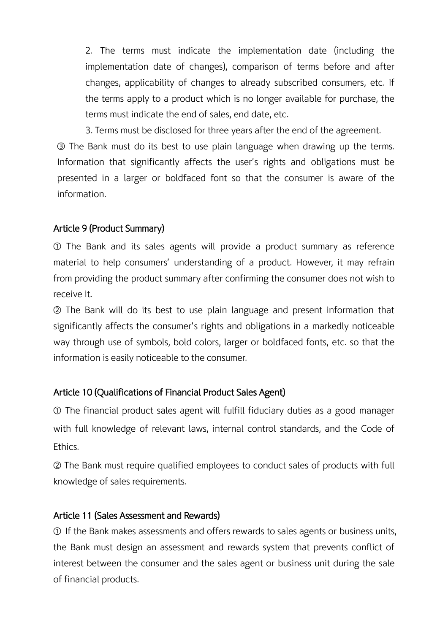2. The terms must indicate the implementation date (including the implementation date of changes), comparison of terms before and after changes, applicability of changes to already subscribed consumers, etc. If the terms apply to a product which is no longer available for purchase, the terms must indicate the end of sales, end date, etc.

3. Terms must be disclosed for three years after the end of the agreement.

③ The Bank must do its best to use plain language when drawing up the terms. Information that significantly affects the user's rights and obligations must be presented in a larger or boldfaced font so that the consumer is aware of the information.

### Article 9 (Product Summary)

① The Bank and its sales agents will provide a product summary as reference material to help consumers' understanding of a product. However, it may refrain from providing the product summary after confirming the consumer does not wish to receive it.

② The Bank will do its best to use plain language and present information that significantly affects the consumer's rights and obligations in a markedly noticeable way through use of symbols, bold colors, larger or boldfaced fonts, etc. so that the information is easily noticeable to the consumer.

### Article 10 (Qualifications of Financial Product Sales Agent)

① The financial product sales agent will fulfill fiduciary duties as a good manager with full knowledge of relevant laws, internal control standards, and the Code of Ethics.

② The Bank must require qualified employees to conduct sales of products with full knowledge of sales requirements.

### Article 11 (Sales Assessment and Rewards)

① If the Bank makes assessments and offers rewards to sales agents or business units, the Bank must design an assessment and rewards system that prevents conflict of interest between the consumer and the sales agent or business unit during the sale of financial products.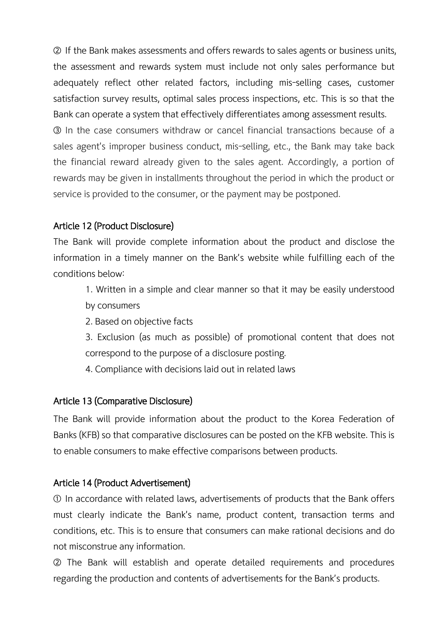② If the Bank makes assessments and offers rewards to sales agents or business units, the assessment and rewards system must include not only sales performance but adequately reflect other related factors, including mis-selling cases, customer satisfaction survey results, optimal sales process inspections, etc. This is so that the Bank can operate a system that effectively differentiates among assessment results.

③ In the case consumers withdraw or cancel financial transactions because of a sales agent's improper business conduct, mis-selling, etc., the Bank may take back the financial reward already given to the sales agent. Accordingly, a portion of rewards may be given in installments throughout the period in which the product or service is provided to the consumer, or the payment may be postponed.

### Article 12 (Product Disclosure)

The Bank will provide complete information about the product and disclose the information in a timely manner on the Bank's website while fulfilling each of the conditions below:

1. Written in a simple and clear manner so that it may be easily understood by consumers

- 2. Based on objective facts
- 3. Exclusion (as much as possible) of promotional content that does not correspond to the purpose of a disclosure posting.
- 4. Compliance with decisions laid out in related laws

#### Article 13 (Comparative Disclosure)

The Bank will provide information about the product to the Korea Federation of Banks (KFB) so that comparative disclosures can be posted on the KFB website. This is to enable consumers to make effective comparisons between products.

#### Article 14 (Product Advertisement)

① In accordance with related laws, advertisements of products that the Bank offers must clearly indicate the Bank's name, product content, transaction terms and conditions, etc. This is to ensure that consumers can make rational decisions and do not misconstrue any information.

② The Bank will establish and operate detailed requirements and procedures regarding the production and contents of advertisements for the Bank's products.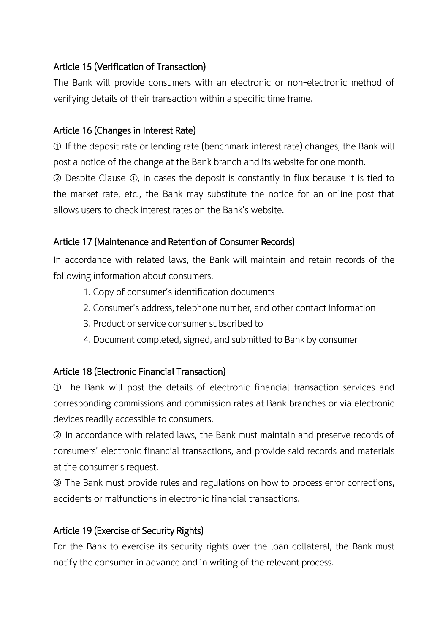## Article 15 (Verification of Transaction)

The Bank will provide consumers with an electronic or non-electronic method of verifying details of their transaction within a specific time frame.

### Article 16 (Changes in Interest Rate)

① If the deposit rate or lending rate (benchmark interest rate) changes, the Bank will post a notice of the change at the Bank branch and its website for one month.

② Despite Clause ①, in cases the deposit is constantly in flux because it is tied to the market rate, etc., the Bank may substitute the notice for an online post that allows users to check interest rates on the Bank's website.

### Article 17 (Maintenance and Retention of Consumer Records)

In accordance with related laws, the Bank will maintain and retain records of the following information about consumers.

- 1. Copy of consumer's identification documents
- 2. Consumer's address, telephone number, and other contact information
- 3. Product or service consumer subscribed to
- 4. Document completed, signed, and submitted to Bank by consumer

### Article 18 (Electronic Financial Transaction)

① The Bank will post the details of electronic financial transaction services and corresponding commissions and commission rates at Bank branches or via electronic devices readily accessible to consumers.

② In accordance with related laws, the Bank must maintain and preserve records of consumers' electronic financial transactions, and provide said records and materials at the consumer's request.

③ The Bank must provide rules and regulations on how to process error corrections, accidents or malfunctions in electronic financial transactions.

### Article 19 (Exercise of Security Rights)

For the Bank to exercise its security rights over the loan collateral, the Bank must notify the consumer in advance and in writing of the relevant process.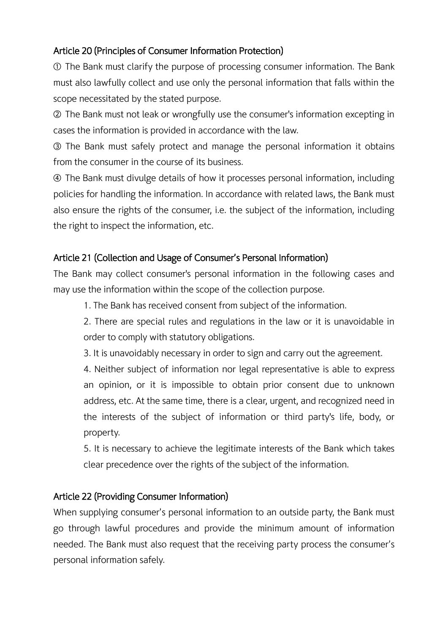# Article 20 (Principles of Consumer Information Protection)

① The Bank must clarify the purpose of processing consumer information. The Bank must also lawfully collect and use only the personal information that falls within the scope necessitated by the stated purpose.

② The Bank must not leak or wrongfully use the consumer's information excepting in cases the information is provided in accordance with the law.

③ The Bank must safely protect and manage the personal information it obtains from the consumer in the course of its business.

④ The Bank must divulge details of how it processes personal information, including policies for handling the information. In accordance with related laws, the Bank must also ensure the rights of the consumer, i.e. the subject of the information, including the right to inspect the information, etc.

# Article 21 (Collection and Usage of Consumer's Personal Information)

The Bank may collect consumer's personal information in the following cases and may use the information within the scope of the collection purpose.

1. The Bank has received consent from subject of the information.

2. There are special rules and regulations in the law or it is unavoidable in order to comply with statutory obligations.

3. It is unavoidably necessary in order to sign and carry out the agreement.

4. Neither subject of information nor legal representative is able to express an opinion, or it is impossible to obtain prior consent due to unknown address, etc. At the same time, there is a clear, urgent, and recognized need in the interests of the subject of information or third party's life, body, or property.

5. It is necessary to achieve the legitimate interests of the Bank which takes clear precedence over the rights of the subject of the information.

# Article 22 (Providing Consumer Information)

When supplying consumer's personal information to an outside party, the Bank must go through lawful procedures and provide the minimum amount of information needed. The Bank must also request that the receiving party process the consumer's personal information safely.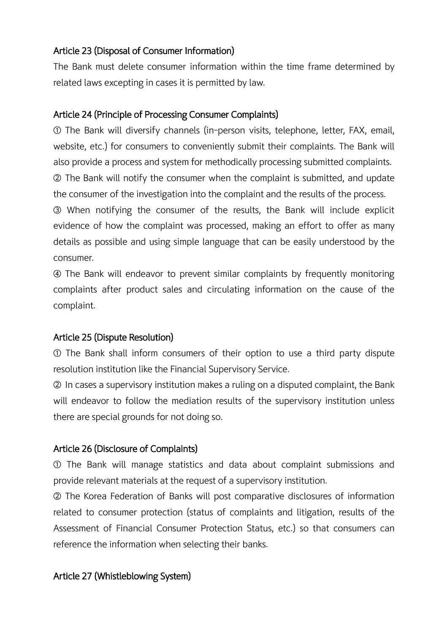### Article 23 (Disposal of Consumer Information)

The Bank must delete consumer information within the time frame determined by related laws excepting in cases it is permitted by law.

#### Article 24 (Principle of Processing Consumer Complaints)

① The Bank will diversify channels (in-person visits, telephone, letter, FAX, email, website, etc.) for consumers to conveniently submit their complaints. The Bank will also provide a process and system for methodically processing submitted complaints. ② The Bank will notify the consumer when the complaint is submitted, and update

the consumer of the investigation into the complaint and the results of the process.

③ When notifying the consumer of the results, the Bank will include explicit evidence of how the complaint was processed, making an effort to offer as many details as possible and using simple language that can be easily understood by the consumer.

④ The Bank will endeavor to prevent similar complaints by frequently monitoring complaints after product sales and circulating information on the cause of the complaint.

### Article 25 (Dispute Resolution)

① The Bank shall inform consumers of their option to use a third party dispute resolution institution like the Financial Supervisory Service.

② In cases a supervisory institution makes a ruling on a disputed complaint, the Bank will endeavor to follow the mediation results of the supervisory institution unless there are special grounds for not doing so.

### Article 26 (Disclosure of Complaints)

① The Bank will manage statistics and data about complaint submissions and provide relevant materials at the request of a supervisory institution.

② The Korea Federation of Banks will post comparative disclosures of information related to consumer protection (status of complaints and litigation, results of the Assessment of Financial Consumer Protection Status, etc.) so that consumers can reference the information when selecting their banks.

### Article 27 (Whistleblowing System)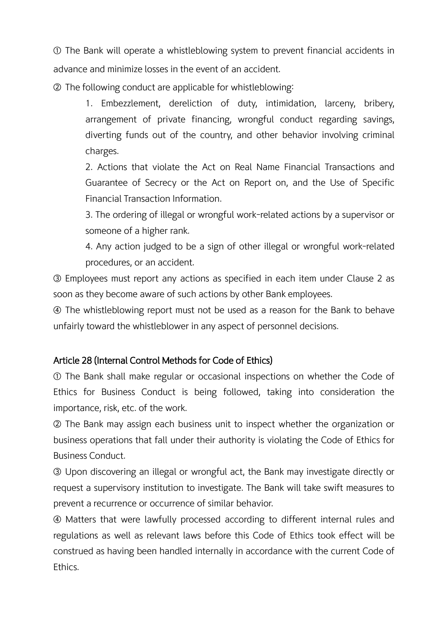① The Bank will operate a whistleblowing system to prevent financial accidents in advance and minimize losses in the event of an accident.

② The following conduct are applicable for whistleblowing:

1. Embezzlement, dereliction of duty, intimidation, larceny, bribery, arrangement of private financing, wrongful conduct regarding savings, diverting funds out of the country, and other behavior involving criminal charges.

2. Actions that violate the Act on Real Name Financial Transactions and Guarantee of Secrecy or the Act on Report on, and the Use of Specific Financial Transaction Information.

3. The ordering of illegal or wrongful work-related actions by a supervisor or someone of a higher rank.

4. Any action judged to be a sign of other illegal or wrongful work-related procedures, or an accident.

③ Employees must report any actions as specified in each item under Clause 2 as soon as they become aware of such actions by other Bank employees.

④ The whistleblowing report must not be used as a reason for the Bank to behave unfairly toward the whistleblower in any aspect of personnel decisions.

### Article 28 (Internal Control Methods for Code of Ethics)

① The Bank shall make regular or occasional inspections on whether the Code of Ethics for Business Conduct is being followed, taking into consideration the importance, risk, etc. of the work.

② The Bank may assign each business unit to inspect whether the organization or business operations that fall under their authority is violating the Code of Ethics for Business Conduct.

③ Upon discovering an illegal or wrongful act, the Bank may investigate directly or request a supervisory institution to investigate. The Bank will take swift measures to prevent a recurrence or occurrence of similar behavior.

④ Matters that were lawfully processed according to different internal rules and regulations as well as relevant laws before this Code of Ethics took effect will be construed as having been handled internally in accordance with the current Code of Ethics.